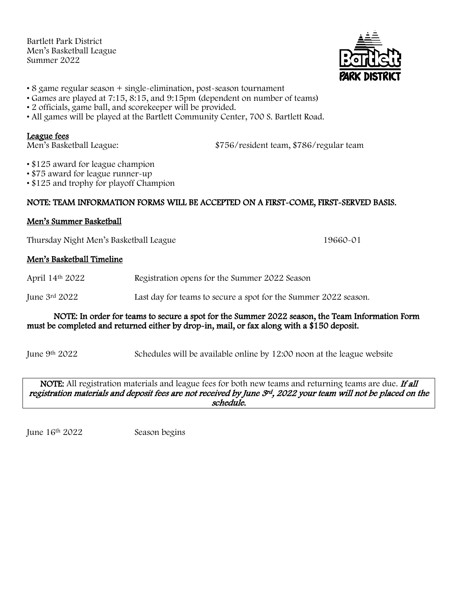Bartlett Park District Men's Basketball League Summer 2022



- 8 game regular season + single-elimination, post-season tournament
- Games are played at 7:15, 8:15, and 9:15pm (dependent on number of teams)
- 2 officials, game ball, and scorekeeper will be provided.
- All games will be played at the Bartlett Community Center, 700 S. Bartlett Road.

#### League fees

Men's Basketball League: \$756/resident team, \$786/regular team

• \$125 award for league champion

- \$75 award for league runner-up
- \$125 and trophy for playoff Champion

# NOTE: TEAM INFORMATION FORMS WILL BE ACCEPTED ON A FIRST-COME, FIRST-SERVED BASIS.

# Men's Summer Basketball

Thursday Night Men's Basketball League 19660-01

# Men's Basketball Timeline

April 14th 2022 Registration opens for the Summer 2022 Season

June 3rd 2022 Last day for teams to secure a spot for the Summer 2022 season.

#### NOTE: In order for teams to secure a spot for the Summer 2022 season, the Team Information Form must be completed and returned either by drop-in, mail, or fax along with a \$150 deposit.

June 9th 2022 Schedules will be available online by 12:00 noon at the league website

NOTE: All registration materials and league fees for both new teams and returning teams are due. If all registration materials and deposit fees are not received by June 3rd, 2022 your team will not be placed on the schedule.

June 16<sup>th</sup> 2022 Season begins